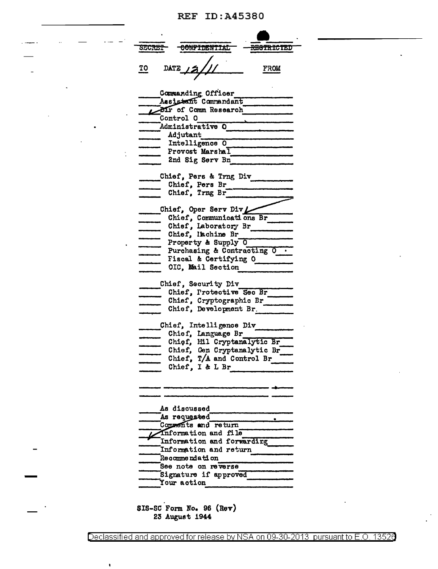## **REF ID:A45380**

÷

 $\overline{\phantom{a}}$ 

| <b>SECRET</b>              | <del>CONFIDENTIAL</del>          | <del>RESTRICIED</del> |
|----------------------------|----------------------------------|-----------------------|
|                            |                                  |                       |
|                            |                                  |                       |
| ΤO                         | 2/1                              | <b>FROM</b>           |
|                            |                                  |                       |
|                            |                                  |                       |
| Commanding Officer         |                                  |                       |
| Assistant Commandant       |                                  |                       |
| Dir of Comm Research       |                                  |                       |
| <b>Control O</b>           |                                  |                       |
| Administrative O           |                                  |                       |
|                            |                                  |                       |
|                            | Adjutant                         |                       |
|                            | Intelligence 0                   |                       |
|                            | Provost Marshal                  |                       |
|                            | 2nd Sig Serv Bn                  |                       |
|                            |                                  |                       |
|                            | Chief, Pers & Trng Div           |                       |
|                            | Chief, Pers Br                   |                       |
|                            | Chief, Trng Br                   |                       |
|                            |                                  |                       |
|                            | Chief, Oper Serv Div L           |                       |
|                            |                                  |                       |
|                            | Chief, Communications Br         |                       |
|                            | Chief, Laboratory Br             |                       |
|                            | Chief, lachine Br                |                       |
|                            | Property & Supply 0              |                       |
|                            | Purchasing & Contracting O       |                       |
|                            | <b>Fiscal &amp; Certifying O</b> |                       |
|                            | OIC, Mail Section                |                       |
|                            |                                  |                       |
|                            | Chief, Security Div              |                       |
|                            | Chief, Protective Sec Br         |                       |
|                            |                                  |                       |
|                            | Chief, Cryptographic Br          |                       |
|                            | Chief, Development Br.           |                       |
|                            |                                  |                       |
|                            | Chief, Intelligence Div          |                       |
|                            | Chief, Language Br               |                       |
|                            | Chief, Mil Cryptanalytic         | Br                    |
|                            | Chief, Gen Cryptanalytic Br      |                       |
|                            | Chief, $T/A$ and Control Br      |                       |
|                            | Chief, I & L Br                  |                       |
|                            |                                  |                       |
|                            |                                  |                       |
|                            |                                  |                       |
|                            |                                  |                       |
|                            |                                  |                       |
| As discussed               |                                  |                       |
| As requested               |                                  |                       |
| Commonts and return        |                                  |                       |
| Information and file       |                                  |                       |
| Information and forwarding |                                  |                       |
| Information and return     |                                  |                       |
| Recommendation             |                                  |                       |
| See note on reverse        |                                  |                       |
|                            |                                  |                       |
|                            | Signature if approved            |                       |
|                            | Your action                      |                       |
|                            |                                  |                       |

SIS-SC Form No. 96 (Rev)<br>23 August 1944

 $\pmb{\mathsf{s}}$ 

Declassified and approved for release by NSA on 09-30-2013 pursuant to E.O. 13526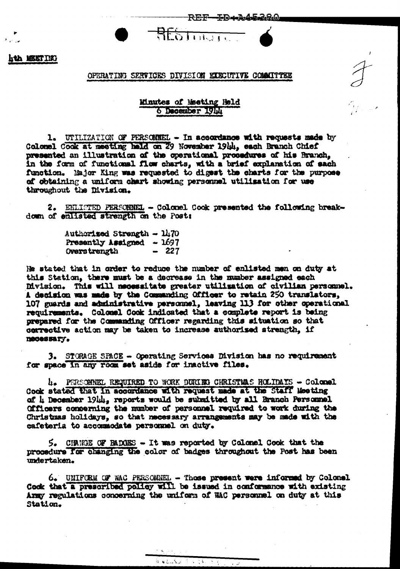

## OPERATING SERVICES DIVISION EXECUTIVE COMMITTEE

RESTINGER

REF-ID+A45.36.

## Minutes of Meeting Held<br>6 December 1944

UTILIZATION OF PERSONNEL - In accordance with requests made by  $\mathbf{L}_{\bullet}$ Colonel Cook at meeting hald on 29 November 1914. each Branch Chief presented an illustration of the operational procedures of his Branch. in the form of functional flow charts, with a brief explanation of each function. Najor King was requested to digest the charts for the purpose of obtaining a uniform chart showing personnel utilisation for use throughout the Division.

2. ENLISTED PERSONNEL - Colonel Cook presented the following breakdown of enlisted strength on the Posts

> Authorised Strength - 1470 Presently Assigned - 1697  $-227$ Overstrength

He stated that in order to reduce the number of enlisted men on duty at this Station, there must be a decrease in the musber assigned each Mvision. This will necessitate greater utilisation of civilian personnel. A decision was made by the Commanding Officer to retain 250 translators. 107 guards and administrative personnel, leaving 113 for other operational requirements. Colomal Cook indicated that a complete report is being prepared for the Commanding Officer regarding this situation so that corrective action may be taken to increase authorized atrength, if necessary.

3. STORAGE SPACE - Operating Services Division has no requirement for space in any room set aside for inactive files.

1. PRESONNEL REQUIRED TO WORK DURING CHRISTMAS HOLIDAYS - Colomel Cook stated that in accordance with request made at the Staff Meeting of 4 December 1944, reports would be submitted by all Branch Personnel Officers concerning the number of personnel required to work during the Christmas holidays, so that mecessary arrangements may be made with the cafeteria to accommodate personnel on duty.

5. CHANGE OF BADGES - It was reported by Colomel Cook that the procedure for changing the color of badges throughout the Post has been undertaken.

6. UNIFORM OF WAC PERSONNEL - Those present were informed by Colonel Cock that a prescribed policy will be issued in conformance with existing Army regulations concerning the uniform of WAC personnel on duty at this Station.